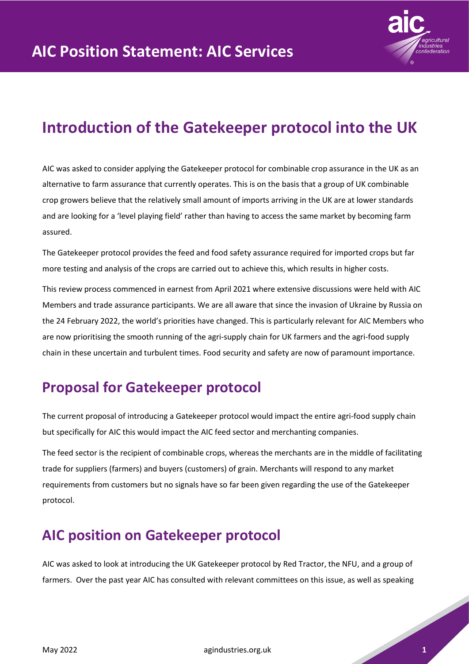

## **Introduction of the Gatekeeper protocol into the UK**

AIC was asked to consider applying the Gatekeeper protocol for combinable crop assurance in the UK as an alternative to farm assurance that currently operates. This is on the basis that a group of UK combinable crop growers believe that the relatively small amount of imports arriving in the UK are at lower standards and are looking for a 'level playing field' rather than having to access the same market by becoming farm assured.

The Gatekeeper protocol provides the feed and food safety assurance required for imported crops but far more testing and analysis of the crops are carried out to achieve this, which results in higher costs.

This review process commenced in earnest from April 2021 where extensive discussions were held with AIC Members and trade assurance participants. We are all aware that since the invasion of Ukraine by Russia on the 24 February 2022, the world's priorities have changed. This is particularly relevant for AIC Members who are now prioritising the smooth running of the agri-supply chain for UK farmers and the agri-food supply chain in these uncertain and turbulent times. Food security and safety are now of paramount importance.

## **Proposal for Gatekeeper protocol**

The current proposal of introducing a Gatekeeper protocol would impact the entire agri-food supply chain but specifically for AIC this would impact the AIC feed sector and merchanting companies.

The feed sector is the recipient of combinable crops, whereas the merchants are in the middle of facilitating trade for suppliers (farmers) and buyers (customers) of grain. Merchants will respond to any market requirements from customers but no signals have so far been given regarding the use of the Gatekeeper protocol.

## **AIC position on Gatekeeper protocol**

AIC was asked to look at introducing the UK Gatekeeper protocol by Red Tractor, the NFU, and a group of farmers. Over the past year AIC has consulted with relevant committees on this issue, as well as speaking